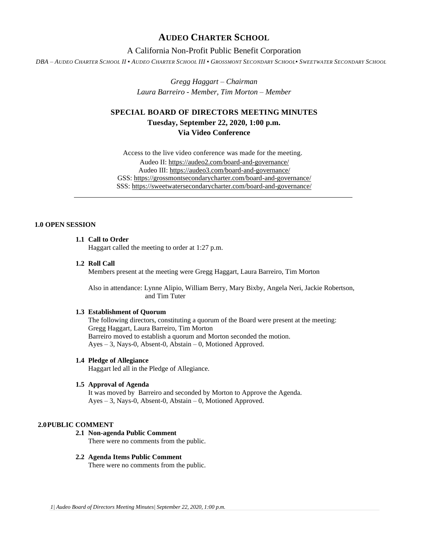# **AUDEO CHARTER SCHOOL**

# A California Non-Profit Public Benefit Corporation

DBA - AUDEO CHARTER SCHOOL II . AUDEO CHARTER SCHOOL III . GROSSMONT SECONDARY SCHOOL. SWEETWATER SECONDARY SCHOOL

*Gregg Haggart – Chairman Laura Barreiro - Member, Tim Morton – Member*

# **SPECIAL BOARD OF DIRECTORS MEETING MINUTES Tuesday, September 22, 2020, 1:00 p.m. Via Video Conference**

Access to the live video conference was made for the meeting. Audeo II[: https://audeo2.com/board-and-governance/](https://audeo2.com/board-and-governance/) Audeo III:<https://audeo3.com/board-and-governance/> GSS:<https://grossmontsecondarycharter.com/board-and-governance/> SSS:<https://sweetwatersecondarycharter.com/board-and-governance/>

# **1.0 OPEN SESSION**

## **1.1 Call to Order**

Haggart called the meeting to order at 1:27 p.m.

#### **1.2 Roll Call**

Members present at the meeting were Gregg Haggart, Laura Barreiro, Tim Morton

Also in attendance: Lynne Alipio, William Berry, Mary Bixby, Angela Neri, Jackie Robertson, and Tim Tuter

## **1.3 Establishment of Quorum**

The following directors, constituting a quorum of the Board were present at the meeting: Gregg Haggart, Laura Barreiro, Tim Morton Barreiro moved to establish a quorum and Morton seconded the motion. Ayes – 3, Nays-0, Absent-0, Abstain – 0, Motioned Approved.

#### **1.4 Pledge of Allegiance**

Haggart led all in the Pledge of Allegiance.

#### **1.5 Approval of Agenda**

It was moved by Barreiro and seconded by Morton to Approve the Agenda. Ayes – 3, Nays-0, Absent-0, Abstain – 0, Motioned Approved.

### **2.0PUBLIC COMMENT**

### **2.1 Non-agenda Public Comment**

There were no comments from the public.

#### **2.2 Agenda Items Public Comment**

There were no comments from the public.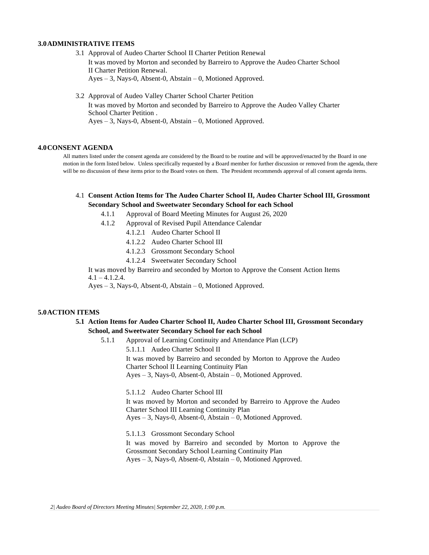#### **3.0ADMINISTRATIVE ITEMS**

- 3.1 Approval of Audeo Charter School II Charter Petition Renewal It was moved by Morton and seconded by Barreiro to Approve the Audeo Charter School II Charter Petition Renewal. Ayes – 3, Nays-0, Absent-0, Abstain – 0, Motioned Approved.
- 3.2 Approval of Audeo Valley Charter School Charter Petition It was moved by Morton and seconded by Barreiro to Approve the Audeo Valley Charter School Charter Petition . Ayes – 3, Nays-0, Absent-0, Abstain – 0, Motioned Approved.

#### **4.0CONSENT AGENDA**

All matters listed under the consent agenda are considered by the Board to be routine and will be approved/enacted by the Board in one motion in the form listed below. Unless specifically requested by a Board member for further discussion or removed from the agenda, there will be no discussion of these items prior to the Board votes on them. The President recommends approval of all consent agenda items.

## 4.1 **Consent Action Items for The Audeo Charter School II, Audeo Charter School III, Grossmont Secondary School and Sweetwater Secondary School for each School**

- 4.1.1 Approval of Board Meeting Minutes for August 26, 2020
- 4.1.2 Approval of Revised Pupil Attendance Calendar
	- 4.1.2.1 Audeo Charter School II
	- 4.1.2.2 Audeo Charter School III
	- 4.1.2.3 Grossmont Secondary School
	- 4.1.2.4 Sweetwater Secondary School

It was moved by Barreiro and seconded by Morton to Approve the Consent Action Items  $4.1 - 4.1.2.4$ .

Ayes – 3, Nays-0, Absent-0, Abstain – 0, Motioned Approved.

### **5.0ACTION ITEMS**

## **5.1 Action Items for Audeo Charter School II, Audeo Charter School III, Grossmont Secondary School, and Sweetwater Secondary School for each School**

5.1.1 Approval of Learning Continuity and Attendance Plan (LCP) 5.1.1.1 Audeo Charter School II It was moved by Barreiro and seconded by Morton to Approve the Audeo Charter School II Learning Continuity Plan Ayes – 3, Nays-0, Absent-0, Abstain – 0, Motioned Approved.

> 5.1.1.2 Audeo Charter School III It was moved by Morton and seconded by Barreiro to Approve the Audeo Charter School III Learning Continuity Plan Ayes – 3, Nays-0, Absent-0, Abstain – 0, Motioned Approved.

> 5.1.1.3 Grossmont Secondary School It was moved by Barreiro and seconded by Morton to Approve the Grossmont Secondary School Learning Continuity Plan Ayes – 3, Nays-0, Absent-0, Abstain – 0, Motioned Approved.